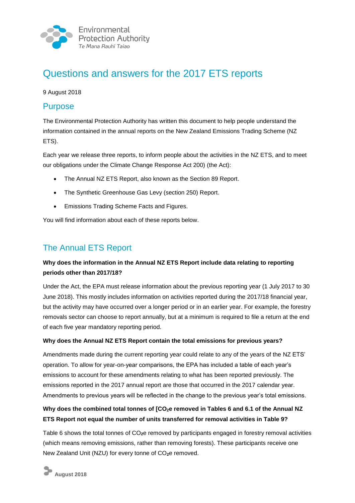

# Questions and answers for the 2017 ETS reports

9 August 2018

## Purpose

The Environmental Protection Authority has written this document to help people understand the information contained in the annual reports on the New Zealand Emissions Trading Scheme (NZ ETS).

Each year we release three reports, to inform people about the activities in the NZ ETS, and to meet our obligations under the Climate Change Response Act 200) (the Act):

- The Annual NZ ETS Report, also known as the Section 89 Report.
- The Synthetic Greenhouse Gas Levy (section 250) Report.
- **Emissions Trading Scheme Facts and Figures.**

You will find information about each of these reports below.

## The Annual ETS Report

### **Why does the information in the Annual NZ ETS Report include data relating to reporting periods other than 2017/18?**

Under the Act, the EPA must release information about the previous reporting year (1 July 2017 to 30 June 2018). This mostly includes information on activities reported during the 2017/18 financial year, but the activity may have occurred over a longer period or in an earlier year. For example, the forestry removals sector can choose to report annually, but at a minimum is required to file a return at the end of each five year mandatory reporting period.

#### **Why does the Annual NZ ETS Report contain the total emissions for previous years?**

Amendments made during the current reporting year could relate to any of the years of the NZ ETS' operation. To allow for year-on-year comparisons, the EPA has included a table of each year's emissions to account for these amendments relating to what has been reported previously. The emissions reported in the 2017 annual report are those that occurred in the 2017 calendar year. Amendments to previous years will be reflected in the change to the previous year's total emissions.

### **Why does the combined total tonnes of [CO2e removed in Tables 6 and 6.1 of the Annual NZ ETS Report not equal the number of units transferred for removal activities in Table 9?**

Table 6 shows the total tonnes of CO**2**e removed by participants engaged in forestry removal activities (which means removing emissions, rather than removing forests). These participants receive one New Zealand Unit (NZU) for every tonne of CO<sub>2</sub>e removed.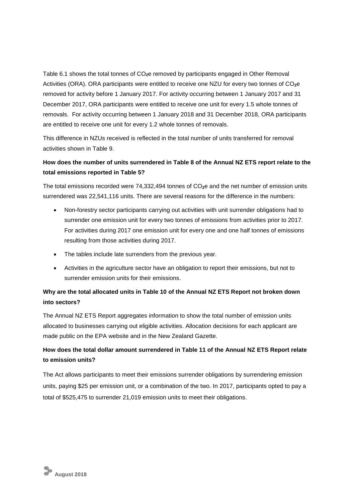Table 6.1 shows the total tonnes of CO**2**e removed by participants engaged in Other Removal Activities (ORA). ORA participants were entitled to receive one NZU for every two tonnes of CO**2**e removed for activity before 1 January 2017. For activity occurring between 1 January 2017 and 31 December 2017, ORA participants were entitled to receive one unit for every 1.5 whole tonnes of removals. For activity occurring between 1 January 2018 and 31 December 2018, ORA participants are entitled to receive one unit for every 1.2 whole tonnes of removals.

This difference in NZUs received is reflected in the total number of units transferred for removal activities shown in Table 9.

### **How does the number of units surrendered in Table 8 of the Annual NZ ETS report relate to the total emissions reported in Table 5?**

The total emissions recorded were 74,332,494 tonnes of CO**2**e and the net number of emission units surrendered was 22,541,116 units. There are several reasons for the difference in the numbers:

- Non-forestry sector participants carrying out activities with unit surrender obligations had to surrender one emission unit for every two tonnes of emissions from activities prior to 2017. For activities during 2017 one emission unit for every one and one half tonnes of emissions resulting from those activities during 2017.
- The tables include late surrenders from the previous year.
- Activities in the agriculture sector have an obligation to report their emissions, but not to surrender emission units for their emissions.

### **Why are the total allocated units in Table 10 of the Annual NZ ETS Report not broken down into sectors?**

The Annual NZ ETS Report aggregates information to show the total number of emission units allocated to businesses carrying out eligible activities. Allocation decisions for each applicant are made public on the EPA website and in the New Zealand Gazette.

### **How does the total dollar amount surrendered in Table 11 of the Annual NZ ETS Report relate to emission units?**

The Act allows participants to meet their emissions surrender obligations by surrendering emission units, paying \$25 per emission unit, or a combination of the two. In 2017, participants opted to pay a total of \$525,475 to surrender 21,019 emission units to meet their obligations.